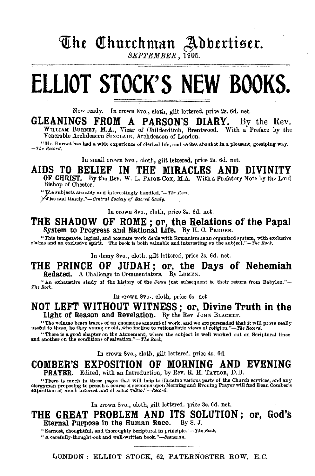# The Churchman Adbertiser.

# **ELLIOT STOCK'S NEW BOOKS.**

Now ready. In crown 8vo., cloth, gilt lettered, price 2s. 6d. net.

#### GLEANINGS FROM A PARSON'S DIARY. By the Rev. WILLIAM BURNET, M.A., Vicar of Childerditch, Brentwood. With a Preface by the

Venerable Archdeacon SIXCLAIR, Archdeacon of London.

" Mr. Burnet has hed a wide experience of clerical life, and writes about it in a pleasant, gossiping way. *-'l'he Record.* 

In small crown 8vo., cloth, gilt lettered, price 2s. 6d. net.

#### AIDS TO BELIEF IN THE MIRACLES AND DIVINITY

OF CHRIST. By the Rev. W. L. PAIGE-Cox, M.A. With a Prefatory Note by the Lord Bishop of Chester.

" The subjects are ably and interestingly handled."-The Rock.

7.Vise and *tlmely."-Oentral Society of Sacred Study.* 

In crown 8vo., cloth, price 3s. 6d. net.

# THE SHADOW OF ROME; or, the Relations of the Papal System to Progress and National Life. By H. C. PEDDER.

"This temperate. logical, and accurate work deals with Romanism as an organized system, with exclusive claims and an exclusive spirit. The book is both valuable and interesting on the subject."-The Rock.

In demy Svo., cloth, gilt lettered, price 2s. 6d. net.

#### THE PRINCE OF JUDAH; or, the Days of Nehemiah Redated. A Challenge to Commentators. By LUMEN.

"An exhaustive study of the history of the Jews just subsequent to their return from Babylon."-- $The Rock$ .

In crown 8vo., cloth, price 6s. net.

#### NOT LEFT WITHOUT WITNESS ; or, Divine Truth in the Light of Reason and Revelation. By the Rev. JOHN BLACKET.

"The vo!ume bears traces of an enormous amount of work, and we are persuaded that it will prove really useful to those, be they young or old, .who incline to rationalistic \'iews of religion."-Tke *Record.* 

"There is a good chapter on the Atonement, where the subject is well worked out on Scriptural lines and another on the conditions of salvation."-The *Rock*.

In crown Svo., cloth, gilt lettered, price 4s. 6d.

#### COMBER'S EXPOSITION OF MORNING AND EVENING PRAYER. Edited, with an Introduction, by Rev. R. H. TAYLOR, D.D.

"There is much in these pages that will help to illumine various parts of the Church services, and any clergyman proposing to preach a course of services and any clergyman proposing to presch a course of services of exposi

In crown 8vo., cloth, gilt lettered, price 3s. 6d. net.

#### THE GREAT PROBLEM AND ITS SOLUTION; or, God's Eternal Purpose in the Human Race. By S. J. Eternal Purpose in the Human Race.

"Earnest, thoughtful, and thoroughly Scriptural in principle."--The Rock.

"A carefully·thonght·ont and well·written *book."-Scol8ma,,* 

LONDON: ELLIOT STOCK, 62, PATERNOSTER ROW, E.C.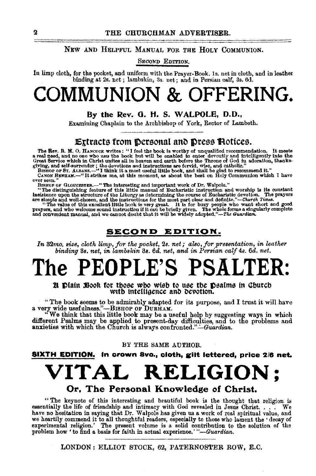#### NEW AND HELPFUL MANUAL FOR THE HOLY CoMMUNION.

SECOND EDITION.

In limp cloth, for the pocket, and uniform with the Prayer-Book. ls. net in cloth, and in leather binding at 2s. net ; lambskin, 3s. net; and in Persian calf, 3s. 6d.

# **COMMUNION & OFFERING.**

#### By the Rev. G. H. S. WALPOLE, D.D.,

Examining Chaplain to the Archbishop of York, Rector of Lambeth.

#### **Extracts from Dersonal and Dress Hotices.**

The Rev. B. M. O. HANCOCK writes: "I feel the book is worthy of unqualified recommendation. It meets<br>a real need, and no one who uses the book but will be enabled to enter devoutly and intelligently into the<br>Great Service

CANON BETT. ALBANS.-- It strikes me, at this moment, as about the best on Holy Communion which I have CANON BETTAM.--" It strikes me, at this moment, as about the best on Holy Communion which I have ever seen."

HISHOP OF GLOUCESTER.—"The interesting and important work of Dr. Walpole."<br>"The distinguishing feature of this little manual of Eucharistic instruction and worship is its constant insistence upon the structure of the Liturgy as determining the course of Eucharistic devotion. The prayers are simple and well-chosen, and the instructions for the most part clear and definite."—Church Times.

prayers, and who welcome sound instruction if it can be briefly given. The whole forms a singularly complete<br>and convenient manual, and we cannot doubt that it will be widely adopted."—The Guardian.

#### SECOND EDITION.

*In* 32mo. size, cloth limp, for the pocket, 2s. net; also, for presentation, in leather *binding* 38. *net, in lambskin* 81. *6d. net, and in PerBian calf 48. 6d. net.* 

# **The PEOPLE'S PSALTER:**

21 **Platn 3800k** for those who wish to use the **p**osalms in Church with intelligence and devotion.

"The book seems to be admirably adapted for its purpose, and I trust it will have a very wide usefnlness."-BISHOP OF DURHAM.

"We think that this little book may be a useful help by suggesting ways in which different Psalms may be applied to present-day difficulties, and to the problems and anxieties with which the Church is always confronted."—Guardian.

#### BY THE SAME AUTHOR.

SIXTH EDITION. In crown avo., cloth, gilt lettered, price 2/8 net.

# **VITAL RELIGION;**

#### Or, The Personal Knowledge of Christ.

" The keynote of this interesting and beautiful book is the thought that religion is essentially the life of friendship and intimacy with God revealed in Jesus Christ. . . . We have no hesitation in saying that Dr. Walpole has given us a work of real spiritual value, and we heartily commend it to all thoughtful readers, especially to those who lament the 'decay of experimental religion.' The pres

LONDON: ELLIOT STOCK, 62, PATERNOSTER ROW, E.C.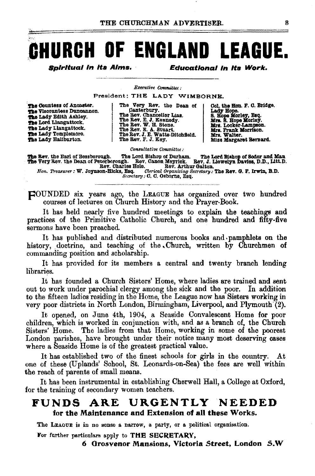# CHURCH OF ENGLAND LEAGUE.

Spirituai in its Aims.

**Educational in its Work.** 

Executive Committee:

President; THE LADY WIMBORNE.

The Countess of Ancaster. The Viscountess Duncannon. The Lady Bdith Ashley. The Lord Llangattock. The Lady Llangattock. The Lady Templemore.<br>The Lady Haliburton.

The Very Rev. the Dean of<br>
Canterbury.<br>
The Rev. Chancellor Lias.<br>
The Rev. C. J. Kennedy.<br>
The Rev. E. J. Kennedy.<br>
The Rev. E. M. A. Stuart.<br>
The Rev. J. E. Watts.<br>Ditchfield.<br>
The Rev. J. E. Watts.<br>
Ditchfield.

Col. the Hon. F. C. Bridge. Lady Hope.<br>S. Hope Morley, Esq.<br>Mrs. S. Hope Morley.<br>Mrs. Locker-Lampson. Mrs. Frank Morrison. Mrs. Walter. Miss Margaret Bernard.

Consultative Committee:

The Bev. the Earl of Bessborough. The Lord Bishop of Durham. The Lord Bishop of Sodor and Man The Very Rev. the Dean of Peterborough. Rev. Canon Meyrick. Rev. J. Liewelyn Davies, D.D., Litt.D.<br>Hon. Treasurer: W. Joynson-Hi

Secretary : C. C. Osborne, Esq.

**FOUNDED** six years ago, the LEAGUE has organized over two hundred courses of lectures on Church History and the Prayer-Book.

It has held nearly five hundred meetings to explain the teachings and practices of the Primitive Catholic Church, and one hundred and fifty-five sermons have been preached.

It has published and distributed numerous books and pamphlets on the history, doctrine, and teaching of the Church, written by Churchmen of commanding position and scholarship.

It has provided for its members a central and twenty branch lending libraries.

It has founded a Church Sisters' Home, where ladies are trained and sent out to work under parochial clergy among the sick and the poor. In addition to the fifteen ladies residing in the Home, the League now has Sisters working in very poor districts in North London, Birmingham, Liverpool, and Plymouth (2).

It opened, on June 4th, 1904, a Seaside Convalescent Home for poor children, which is worked in conjunction with, and as a branch of, the Church Sisters' Home. The ladies from that Home, working in some of the poorest London parishes, have brought under their notice many most deserving cases where a Seaside Home is of the greatest practical value.

It has established two of the finest schools for girls in the country. At one of these (Uplands' School, St. Leonards-on-Sea) the fees are well within the reach of parents of small means.

It has been instrumental in establishing Cherwell Hall, a College at Oxford, for the training of secondary women teachers.

#### URGENTLY NEEDED FUNDS ARE for the Maintenance and Extension of all these Works.

The LEAGUE is in no sense a narrow, a party, or a political organisation.

For further particulars apply to THE SECRETARY,

6 Grosvenor Mansions, Victoria Street, London S.W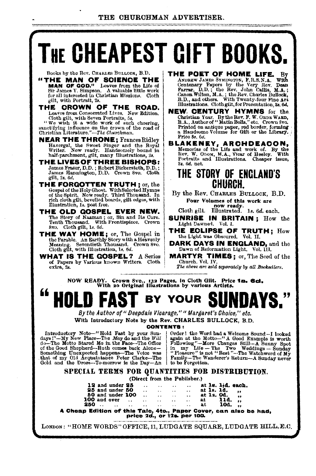#### THE CHURCHMAN ADVERTISER.

# **THE CHEAPEST GIFT BOOKS.**

Books by the Rev. CHARLES BULLOCK, B.D.

"THE MAN OF SCIENCE THE MAN OF QOD," Leavea from the Life of Sir James Y. Simpson. A valuable little work for all interested in Christian Missions. Cloth gilt, with Portrait, 28.

THE CROWN OF THE ROAD. Leaves from Consecrated Lives. New Edition.

Cloth gilt, with Seven Portraits, 5s. "We wish it a wide work of such cheering, sanctifying influence on the crown of the road of Christian Literature." *-The Churchman.* 

NEAR THE THRONE; FrancesRidley Havergal, the Sweet Singer and the Royal Writer. Now ready. Handsomely bound in half-parchment, gilt, many Illustrations, 2s.

THE LIVES OF THREE BISHOPS:<br>James Fraser, D.D.; Robert Bickersteth, D.D.; James Hannington, D.D. Crown 8vo. Cloth gilt, 2•. 6d,

- THE FORGOTTEN TRUTH; or, the Gospel of the HolyGho•t. With Selected Hymns of the Spirit. Now ready. Third Tbouoand. In of the Spirit, Now ready, Third Thousand. In rich cloth gilt, bevelled boards, gilt edges, with Illustration, 1s. post free.
- THE OLD GOSPEL EVER NEW. The Story of Naamart; or, Sin and Ita Cure. Tenth Thousand. With Frontispiece. Crown 8vo. Cloth gilt, 1s. 6d.

THE WAY HOME; or, The Gospel in the Parable. An Earthly Story with a Heavenly Meaning. Seventieth Thousand. Crown 8vo. Cloth gilt, with Illustration, Is. *6d.* 

WHAT IS THE GOSPEL? A Series of Papers by Various known Writers. Cloth extra, 2s.

**THE POET OF HOME LIFE.** By ANDENTAL WHAT STANDARY JAMES SYMPORTS, PRISING THAT CORDINAL THAT SALL CARD FOR THE STANDARY BOOM THAT SALL CARD BY BUT A DURING SHOW THAT BY BOOM WHOM, M.A.; the Rev. Chard Bullock,  $\overline{B}$ , D Illustrations. Cloth gilt, for Presentation, 3s. 6d.

NEW, CENTURY HYMNS for the. Christian Year. By the Rev. F. W. ORnE WARD, B.A., Author of" MatinBolls," etc. Crovm Svo, Printed on antique paper, red border, forming<br>a Handsome Volume for Gift or the Library,<br>Price 8s, 6d.

BLAKENEY, ARCHDEACON, Memories of the Life and work of. By the Rev. W. Obox, M.A., Vicar of Heeley. With Portraits and Illustrations. Cheaper issue, 8s. 6d. net.

### THE STORY OF ENGLAND'S CHURCH.

By the Rev. CHARLES BuLLOCK, B.D. Pour Volumes of this work are now ready. Cloth gilt. Illustrated. ls. *6d.* each.

SUNRISE IN BRITAIN; How the Light Dawned. Vol. 1.

THE ECLIPSE OF TRUTH; How the Light was Obscured. Vol. II.

DARK DAYS IN ENGLAND, and the Dawn of Reformation Light. Vol. 111.

MARTYR TIMES; or, The Seed of the The above are *zold* separately by all Booksellers.

NOW READY. Crown 8vo., 132 Pages, in Cloth Gilt. Price **1s. 6d.**<br>With 20 Original Illustrations by various Artists.



CONTENTS:<br>Introductory Note-"Hold Fast by your Sun- | Order **CONTENTS :**<br>
Introductory Note-"Hold Fast by your Sun-<br>
days?"---My New Place--The May do and the *Will* again at the Motto--"A Good Example is worth do---The Motto Stared Me in the Face---The Office<br>
of the Good Shepher

#### SPECIAL TERMS FOR QUANTITIES FOR DISTRIBUTION.

(Direct from the Publisher.)

|                  |          | in Malitian at this Wale the                                                                                    |                              |                      |                        |      | Benew Belley, and also b  |  |
|------------------|----------|-----------------------------------------------------------------------------------------------------------------|------------------------------|----------------------|------------------------|------|---------------------------|--|
| $250$            | $\cdots$ | the contract of the contract of the contract of the contract of the contract of the contract of the contract of |                              |                      | $\sim$ $\sim$ $\sim$   | at.  | 10d.                      |  |
|                  |          | 100 and over $\ldots$ $\ldots$ $\ldots$                                                                         |                              |                      | $\ddot{\phantom{a}}$ . | at - | 11d.                      |  |
| 50 and under 100 |          | $\ddotsc$                                                                                                       | $\sim$ 100 $\sim$ 100 $\sim$ | $\cdots$             | $\ddot{\phantom{1}}$   |      | at 1s. 0d. $\frac{1}{11}$ |  |
| 25 and under 50  |          | $\ddot{\phantom{0}}$                                                                                            | $\cdot$ .                    | $\ddot{\phantom{0}}$ | $\ddot{\phantom{a}}$   |      | at 1s. 1d.,               |  |
| 12 and under 25  |          | $\ddot{\phantom{0}}$                                                                                            | $\sim$                       | $\sim$ $\sim$        | $\ddot{\phantom{a}}$   |      | at 1s. 11d. each.         |  |
|                  |          |                                                                                                                 |                              |                      |                        |      |                           |  |

A Cheap Edition of' this Tale1 4to., Paper Cover, can also be had, price 2a., or t2e. per 100. ·

LONDON: "HOME WORDS" OFFICE, 11, LUDGATE SQUARE, LUDGATE HILL, E.C.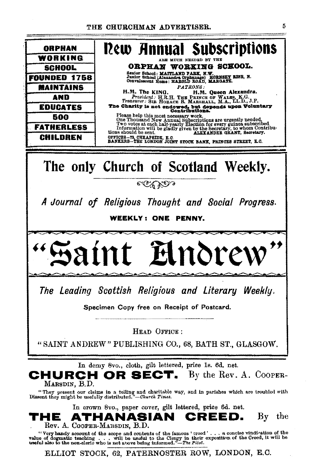

Rev. A. COOPER-MARSDIN, B.D.

"Very handy account of the scope and contents of the famous 'creed'... a concise vindication of the 

ELLIOT STOCK, 62, PATERNOSTER ROW, LONDON, E.C.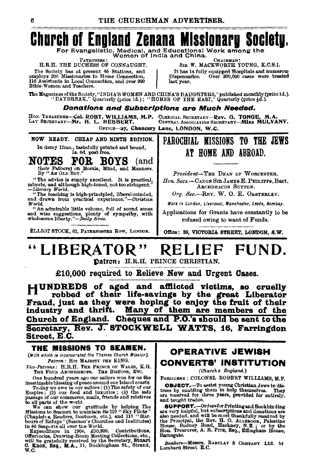# **Church of England Zenana Missionary Society.**

For Evangelistic, Medical, and Educational Work among the Women of India and China.

**PATRONESS** 

H.R.H. THE DUCHESS OF CONNAUGHT. The Society has at present 65 Stations, and<br>employs 206 Missionaries in Home Connection. 116 Assistants in Local Connection, and over 900 Bible-Women and Teachers.

CHAIRMAN! SIR W. MACKWORTH YOUNG, K.C.S.I. It has 14 fully equipped Hospitals and numerous<br>ispensaries. Over 300,000 cases were treated Dispensaries. last year.

The Magazines of the Society, "INDIA'S WOMEN AND CHINA'S DAUGHTERS," published monthly (price 1d.).<br>"DAYBREAK," Quarterly (price 1d.); "HOMES OF THE EAST," Quarterly (price 4d.).

Donations and Subscriptions are Much Needed.

HON. TREASURER-Col. ROBT. WILLIAMS, M.P. CLERICAL SECRETARY-Rev. G. TONGE.<br>LAY SECRETARY-Mr. H. L. HEBBERT. CENTRAL ASSOCIATION SECRETARY-MISS M CENTRAL ASSOCIATION SECRETABY-MISS MULVANY.

OFFICE-27, Chancery Lane, LONDON, W.C.

NOW READY. CHEAP AND NINTH EDITION. In demy 12mo., tastefully printed and bound,<br>18. 6d, post free.

#### FOR BOYS NOTES (and

their Fathers) on Morals, Mind, and Manners.<br>By "An OLD Boy."

"The advice is simply excellent. It is practical, minute, and although high-toned, not too stringent."

minue, and animated and the material contract of the teaching is high-principled, liberal-minded,<br>"The teaching is high-principled, liberal-minded,<br>and drawn from practical experience."—Christian World.

"An admirable little volume, full of sound sense and wise suggestions, plenty of sympathy, with wholesome liberty."-Daily News.

ELLIOT STOCK, 62, PATRENOSTER ROW, LONDON.

### PAROCHIAL MISSIONS TO THE JEWS AT HOME AND ABROAD.

M.A

President-THE DEAN OF WORCESTER. Hon, Secs.-- CANON SIR JAMES E. PHILIPPS, Bart. ARCHDEACON SUTTON.

Org. Sec.--REV. W. O. E. OESTERLEY.

Work in London, Liverpool, Manchester, Leeds, Bombay,

Applications for Grants have constantly to be refused owing to want of Funds.

Office: 39, VICTORIA STREET, LONDON, S.W.

#### LIBERATOR" RELIEF FUND.

Datron: H.R.H. PRINCE CHRISTIAN.

£10,000 required to Relieve New and Urgent Cases.

HUNDREDS of aged and afflicted victims, so cruelly robbed of their life-savings by the great Liberator Fraud, just as they were hoping to enjoy the fruit of their industry and thrift. Many of them are members of the Church of England. Cheques and P.O.'s should be sent to the Secretary, Rev. J. STOCKWELL WATTS, 16. Farringdon Street, E.C.

#### THE MISSIONS TO SEAMEN.

(With which is incorporated the Thames Church Mission). Patron: HIS MAJESTY THE KING.

Vice-Patrons: H.R.H. THE PRINCE OF WALES, K.G.<br>THE FOUR ARCHBISHOPS. THE BISHOPS, ETC.

One hundred years ago our sailors won for us the inestimable blessing of peace around our Island coasts. To day we owe to our sailors : (1) The safety of our particular Empire ; (2) our food and luxuries ; (3) the safety of our passage of our commerce, mails, riends and relatives to all parts of the world.

We can show our gratitude by helping The Missions to Seamen to maintain its 229 "Sky Pilots"

missions to Seamen to maintain its 229 "Sky Pilots"<br>(Chaphaire, Readers, Boatmen, ctc.), and 116 "Har-<br>bours of Refuge" (Seamen's Churches and Institutes)<br>in 86 Seaports all over the World.<br>Expenditure in 1904, £50,306. C  $\overline{w}$ . $\overline{c}$ .

#### **OPERATIVE JEWISH CONVERTS' INSTITUTION**

(Church o England.)

PRESIDENT : COLONEL ROBERT WILLIAMS, M.P.

**OBJECT.** To assist young Christian Jews in distress by enabling them to help themselves. They are received for three years, provided for entirely, and taught trades.

**SUPPORT.**-Ordersfor Printing and Bookhinding<br>are very helpful, but subscriptions and donations are also needed, and will be most thankfully received by asso necessary and was supported to the Principal, the Rev. H. O. ALLEROOK, Palestine House, Bodiney Road, Heckney, N.E.; or by the Hon. Treasurer, A. R. Prrz, Esq., Effingham House, Ramsgate.

Bankers-Messrs. BARCLAY & COMPANY Ltd. 54 Lombard Street E.C.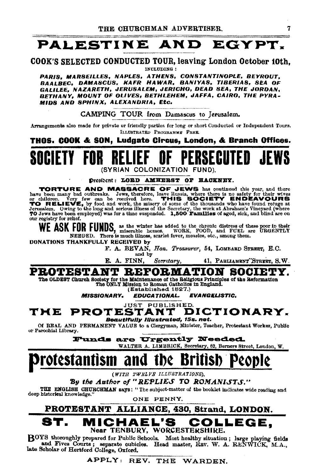## PALESTINE AND EGYPT.

#### COOK'S SELECTED CONDUCTED TOUR, leaving London October 10th, INCLUDING:

PARIS, MARSEILLES, NAPLES, ATHENS, CONSTANTINOPLE, BEYROUT, BAALBEC, DAMASCUS, KAFR HAWAR, BANIYAS, TIBERIAS, SEA OF GALILEE, NAZARETH, JERUSALEM, JERICHO, DEAD SEA, THE JORDAN, BETHANY, MOUNT OF OLIVES, BETHLEHEM, JAFFA, CAIRO, THE PYRA· MIDS AND SPHINX, ALEXANDRIA, Etc.

CAMPING TOUR from Damascus to Jerusalem.

Arrangements also made for private or friendly parties for long or short Conducted or Independent Tours. ILLUSTRATED PROGRAMME FREE.

THOS. COOK & SON, Ludgate Circus, London, & Branch Offices.

IETY FOR RELIEF OF PERSECUTED {SYRIAN COLONIZATION FUND).

Drestbent: LOBD AMHERST OF HACKNEY.

TORTURE AND MASSACRE OF JEWS has continued this year, and there have been many bad outbreaks. Jews, therefore, leave Russia, where there is no safety for their wives or children. Very few can be received here. THIS SOCIETY ENDEAVOURS ITO RELIEVE, by food and work, the misery of some of the thousands who have found refuge at Jerusalem. Owing to the long and serious illness of the Secretary, the work at Abraham's Vineyard (where 70 Jews have been employed) was for a time suspended. 1,500 Families of aged, sick, and blind are on our registry for relief.

WE ASK FOR FUNDS, as the winter has added to the chronic distress of these poor in their<br>NEEDED. There is much illness, scarlet fever, measles, etc., among them.<br>NEEDED. There is much illness, scarlet fever, measles, etc.,

DONATIONS THANKFULLY RECEIVED by

F. A. BEVAN, *Hon. Treasurer*, 54, LOMBARD STREET, E.C.

and by<br>**E.** A. FINN, Secretary, E. A. FINN, *Secretary,* 41, PABLIAMENT:STum, S.W.

#### PROTESTANT REFORMATION SOCIET

The OLDEST Church Society for the Maintenance of the Beligious Principles of the Reformation<br>The ONLY Mission to Roman Oathollos in England.<br>(Established 1827.)

*MISSIONARY. EDUCATIONAL. EVANGEUSTIC.* 

#### JUST PUBLISHED.  $\textbf{THE} \textbf{ PROTESTANT} \textbf{DICTIONARY}$

Of REAL AND PERMANENT VALUE to a Clergyman, Minister, Teacher, Protestant Worker, Public or Parochial Library.

Funds are Urgently Needed.

WALTER A. LIMBRICK, Secretary, 62, Berners Street, London, W.

## Protestantism and the British

*(WITH TWELVE ILLUSTRATIONS)*,

By the Author of "REPLIES TO ROMANISTS."

THE ENGLISH CHURCHMAN says: "The subject-matter of the booklet indicates wide reading and deep historical knowledge."

ONE PENNY.

#### PROTESTANT ALLIANCE, 430, Strand, LONDON. MICHAEL'S COLLEGE. Near TENBURY, WORCESTERSHIRE.

BOYS thoroughly prepared for Public Schools. Most healthy situation; large playing fields and Fives Courts; separate cubicles. Head master, REV. W. A. RENWICK, M.A., late Scholar of Hertford College, Oxford.<br>APPLY: REV. TH